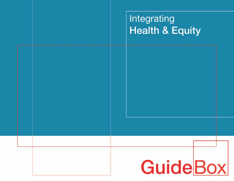## Integrating **Health & Equity**

# GuideBox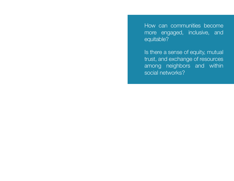How can communities become more engaged, inclusive, and equitable?

Is there a sense of equity, mutual trust, and exchange of resources among neighbors and within social networks?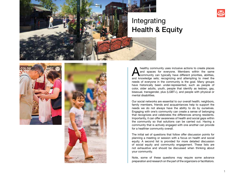

### Integrating Health & Equity





healthy community uses inclusive actions to create places<br>and spaces for everyone. Members within the same<br>community can typically have different priorities, abilities,<br>and knowledge sets; recognizing and attempting to mee and spaces for everyone. Members within the same **Community can typically have different priorities, abilities,** and knowledge sets; recognizing and attempting to meet the needs of everyone in the community is the goal. Many groups have historically been under-represented, such as people of color, older adults, youth, people that identify as lesbian, gay, bisexual, transgender, plus (LGBT+), and people with physical or mental disabilities.

Our social networks are essential to our overall health; neighbors, family members, friends and acquaintances help to support the needs we do not always have the ability to do by ourselves. Engaging with one's community can create a sense of belonging that recognizes and celebrates the differences among residents. Importantly, it can offer awareness of health and social gaps within the community so that solutions can be carried out. Having a community that is actively engaged with one another can provide for a healthier community overall.

The initial set of questions that follow offer discussion points for planning a meeting or session with a focus on health and social equity. A second list is provided for more detailed discussion of social equity and community engagement. These lists are not exhaustive and should be discussed when thinking about your community.

Note, some of these questions may require some advance preparation and research on the part of the organizers or facilitators.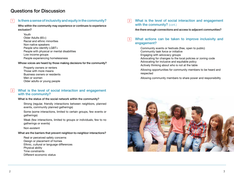#### Questions for Discussion

#### Is there a sense of inclusivity and equity in the community? 1

Who within the community may experience or continues to experience exclusion?

Youth Older Adults (65+) Racial and ethnic minorities Non-native speakers People who identify LGBT+ People with physical or mental disabilities Low income groups People experiencing homelessness

Whose voices are heard by those making decisions for the community?

Property owners or renters Those with more means Business owners or residents Men or women Older adults or young people

#### What is the level of social interaction and engagement with the community?  $|2|$

#### What is the status of the social network within the community?

Strong (regular, friendly interactions between neighbors, planned events, community planned gatherings)

Some (some interactions, limited to certain groups, few events or gatherings)

Weak (few interactions, limited to groups or individuals, few to no gatherings or events)

Non-existent

What are the barriers that prevent neighbor-to-neighbor interactions?

Real or perceived safety concerns Design or placement of homes Ethnic, cultural or language differences Physical ability Time constraints Different economic status

What is the level of social interaction and engagement with the community? (cont.)  $|2|$ 

Are there enough connections and access to adjacent communities?

#### 3 What actions can be taken to improve inclusivity and engagement?

Community events or festivals (free, open to public) Community task force or initiative Engaging with advocacy groups Advocating for changes to the local policies or zoning code Advocating for inclusive and equitable policy

Actively thinking about who is not at the table

- Allowing opportunities for community members to be heard and respected
- Allowing community members to share power and responsibility

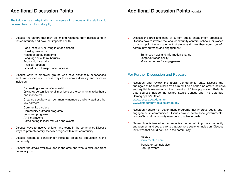#### Additional Discussion Points

The following are in-depth discussion topics with a focus on the relationship between heath and social equity.

- $\square$  Discuss the factors that may be limiting residents from participating in the community and how that impacts health.
	- Food insecurity or living in a food desert Housing insecurity Health or safety concerns Language or cultural barriers Economic insecurity Physical location Limited or no transportation access
- $\Box$ Discuss ways to empower groups who have historically experienced exclusion or inequity. Discuss ways to celebrate diversity and promote inclusion.

By creating a sense of ownership

Giving opportunities for all members of the community to be heard and respected

Creating trust between community members and city staff or other key partners

Community gardens Community outreach programs Volunteer programs Art installations Participating in local festivals and events

- Discuss ways to involve children and teens in the community. Discuss  $\Box$ ways to promote family-friendly designs within the community.
- $\Box$  Discuss factors to consider for including an aging population in the community.
- $\Box$ Discuss the area's available jobs in the area and who is excluded from potential jobs.

 $\Box$  Discuss the pros and cons of current public engagement processes. Discuss how to involve the local community centers, schools, or places of worship in the engagement strategy and how they could benefit community outreach and engagement.

> Enhanced news and information-sharing Larger outreach ability More resources for engagement

Additional Discussion Points (cont.)

#### For Further Discussion and Research

 $\Box$  Research and review the area's demographic data. Discuss the findings o f t he d ata a nd h ow t o m eet t he n eeds a nd create inclusive and equitable measures for the current and future population. Reliable data sources include the United States Census and The Colorado Demographer's Office. <www.census.gov/data.html>

[www.demography.dola.colorado.gov](https://demography.dola.colorado.gov/)

- Research nonprofit or government programs that improve equity and  $\Box$ engagement in communities. Discuss how to involve local governments, nonprofits, and community members to achieve goals.
- $\Box$  Research initiatives other communities use to help improve community engagement and social efforts that promote equity or inclusion. Discuss initiatives that could be tried in the community.

#### Meetup

#### <www.meetup.com>

Translator technologies Pop-up events